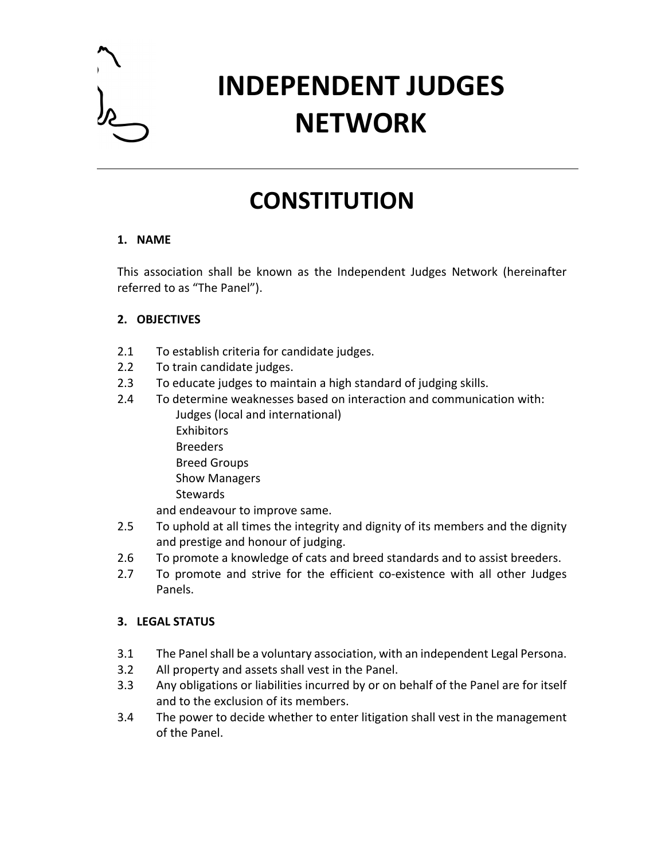

# **INDEPENDENT JUDGES NETWORK**

# **CONSTITUTION**

#### **1. NAME**

This association shall be known as the Independent Judges Network (hereinafter referred to as "The Panel").

## **2. OBJECTIVES**

- 2.1 To establish criteria for candidate judges.
- 2.2 To train candidate judges.
- 2.3 To educate judges to maintain a high standard of judging skills.
- 2.4 To determine weaknesses based on interaction and communication with: Judges (local and international) **Exhibitors** Breeders Breed Groups Show Managers **Stewards**

and endeavour to improve same.

- 2.5 To uphold at all times the integrity and dignity of its members and the dignity and prestige and honour of judging.
- 2.6 To promote a knowledge of cats and breed standards and to assist breeders.
- 2.7 To promote and strive for the efficient co-existence with all other Judges Panels.

### **3. LEGAL STATUS**

- 3.1 The Panel shall be a voluntary association, with an independent Legal Persona.
- 3.2 All property and assets shall vest in the Panel.
- 3.3 Any obligations or liabilities incurred by or on behalf of the Panel are for itself and to the exclusion of its members.
- 3.4 The power to decide whether to enter litigation shall vest in the management of the Panel.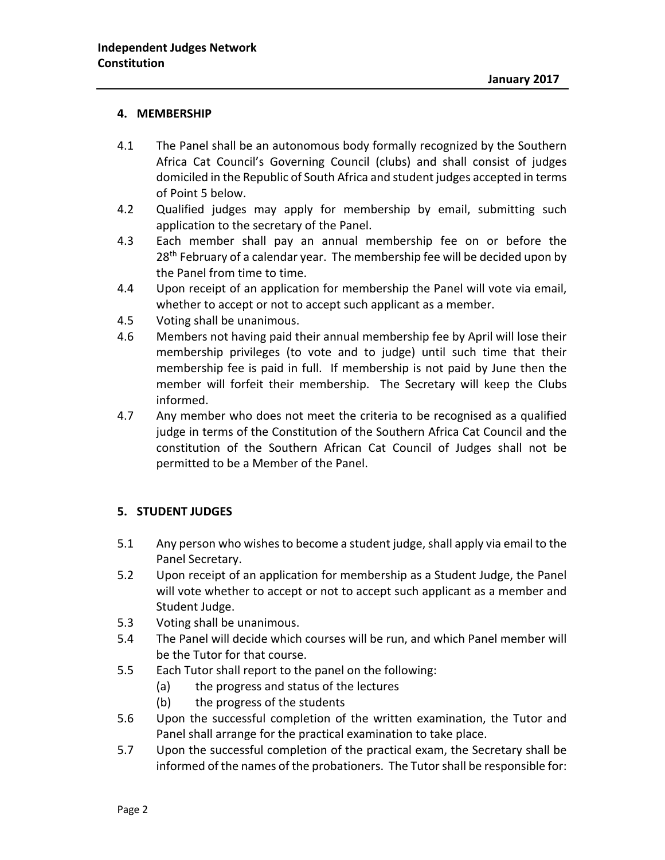#### **4. MEMBERSHIP**

- 4.1 The Panel shall be an autonomous body formally recognized by the Southern Africa Cat Council's Governing Council (clubs) and shall consist of judges domiciled in the Republic of South Africa and student judges accepted in terms of Point 5 below.
- 4.2 Qualified judges may apply for membership by email, submitting such application to the secretary of the Panel.
- 4.3 Each member shall pay an annual membership fee on or before the 28<sup>th</sup> February of a calendar year. The membership fee will be decided upon by the Panel from time to time.
- 4.4 Upon receipt of an application for membership the Panel will vote via email, whether to accept or not to accept such applicant as a member.
- 4.5 Voting shall be unanimous.
- 4.6 Members not having paid their annual membership fee by April will lose their membership privileges (to vote and to judge) until such time that their membership fee is paid in full. If membership is not paid by June then the member will forfeit their membership. The Secretary will keep the Clubs informed.
- 4.7 Any member who does not meet the criteria to be recognised as a qualified judge in terms of the Constitution of the Southern Africa Cat Council and the constitution of the Southern African Cat Council of Judges shall not be permitted to be a Member of the Panel.

#### **5. STUDENT JUDGES**

- 5.1 Any person who wishes to become a student judge, shall apply via email to the Panel Secretary.
- 5.2 Upon receipt of an application for membership as a Student Judge, the Panel will vote whether to accept or not to accept such applicant as a member and Student Judge.
- 5.3 Voting shall be unanimous.
- 5.4 The Panel will decide which courses will be run, and which Panel member will be the Tutor for that course.
- 5.5 Each Tutor shall report to the panel on the following:
	- (a) the progress and status of the lectures
	- (b) the progress of the students
- 5.6 Upon the successful completion of the written examination, the Tutor and Panel shall arrange for the practical examination to take place.
- 5.7 Upon the successful completion of the practical exam, the Secretary shall be informed of the names of the probationers. The Tutor shall be responsible for: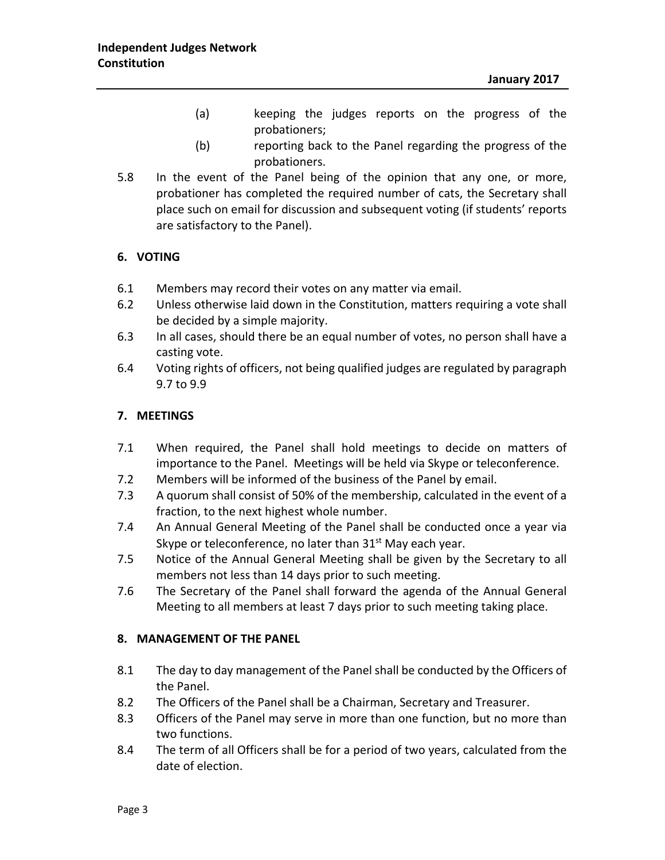- (a) keeping the judges reports on the progress of the probationers;
- (b) reporting back to the Panel regarding the progress of the probationers.
- 5.8 In the event of the Panel being of the opinion that any one, or more, probationer has completed the required number of cats, the Secretary shall place such on email for discussion and subsequent voting (if students' reports are satisfactory to the Panel).

#### **6. VOTING**

- 6.1 Members may record their votes on any matter via email.
- 6.2 Unless otherwise laid down in the Constitution, matters requiring a vote shall be decided by a simple majority.
- 6.3 In all cases, should there be an equal number of votes, no person shall have a casting vote.
- 6.4 Voting rights of officers, not being qualified judges are regulated by paragraph 9.7 to 9.9

#### **7. MEETINGS**

- 7.1 When required, the Panel shall hold meetings to decide on matters of importance to the Panel. Meetings will be held via Skype or teleconference.
- 7.2 Members will be informed of the business of the Panel by email.
- 7.3 A quorum shall consist of 50% of the membership, calculated in the event of a fraction, to the next highest whole number.
- 7.4 An Annual General Meeting of the Panel shall be conducted once a year via Skype or teleconference, no later than  $31<sup>st</sup>$  May each year.
- 7.5 Notice of the Annual General Meeting shall be given by the Secretary to all members not less than 14 days prior to such meeting.
- 7.6 The Secretary of the Panel shall forward the agenda of the Annual General Meeting to all members at least 7 days prior to such meeting taking place.

#### **8. MANAGEMENT OF THE PANEL**

- 8.1 The day to day management of the Panel shall be conducted by the Officers of the Panel.
- 8.2 The Officers of the Panel shall be a Chairman, Secretary and Treasurer.
- 8.3 Officers of the Panel may serve in more than one function, but no more than two functions.
- 8.4 The term of all Officers shall be for a period of two years, calculated from the date of election.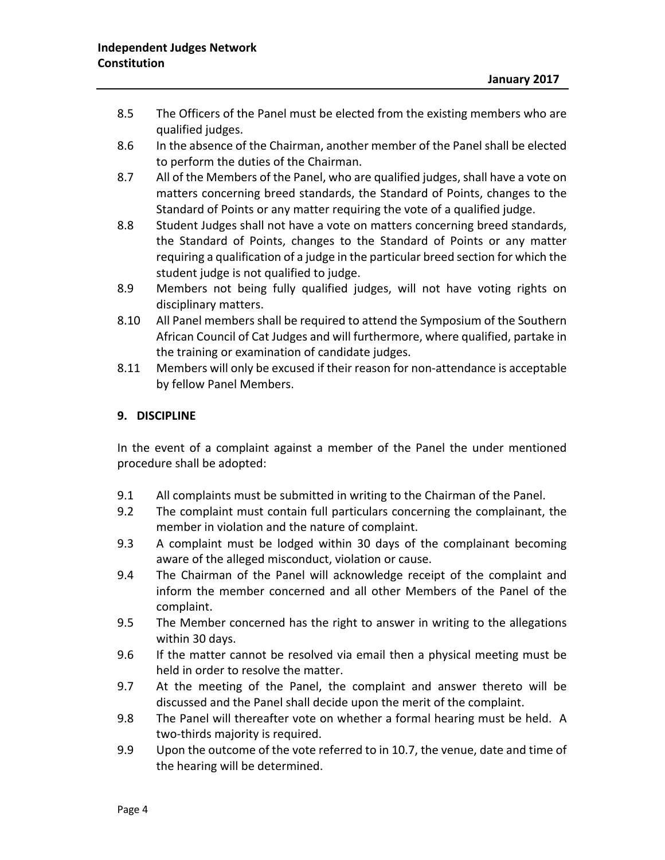- 8.5 The Officers of the Panel must be elected from the existing members who are qualified judges.
- 8.6 In the absence of the Chairman, another member of the Panel shall be elected to perform the duties of the Chairman.
- 8.7 All of the Members of the Panel, who are qualified judges, shall have a vote on matters concerning breed standards, the Standard of Points, changes to the Standard of Points or any matter requiring the vote of a qualified judge.
- 8.8 Student Judges shall not have a vote on matters concerning breed standards, the Standard of Points, changes to the Standard of Points or any matter requiring a qualification of a judge in the particular breed section for which the student judge is not qualified to judge.
- 8.9 Members not being fully qualified judges, will not have voting rights on disciplinary matters.
- 8.10 All Panel members shall be required to attend the Symposium of the Southern African Council of Cat Judges and will furthermore, where qualified, partake in the training or examination of candidate judges.
- 8.11 Members will only be excused if their reason for non-attendance is acceptable by fellow Panel Members.

#### **9. DISCIPLINE**

In the event of a complaint against a member of the Panel the under mentioned procedure shall be adopted:

- 9.1 All complaints must be submitted in writing to the Chairman of the Panel.
- 9.2 The complaint must contain full particulars concerning the complainant, the member in violation and the nature of complaint.
- 9.3 A complaint must be lodged within 30 days of the complainant becoming aware of the alleged misconduct, violation or cause.
- 9.4 The Chairman of the Panel will acknowledge receipt of the complaint and inform the member concerned and all other Members of the Panel of the complaint.
- 9.5 The Member concerned has the right to answer in writing to the allegations within 30 days.
- 9.6 If the matter cannot be resolved via email then a physical meeting must be held in order to resolve the matter.
- 9.7 At the meeting of the Panel, the complaint and answer thereto will be discussed and the Panel shall decide upon the merit of the complaint.
- 9.8 The Panel will thereafter vote on whether a formal hearing must be held. A two-thirds majority is required.
- 9.9 Upon the outcome of the vote referred to in 10.7, the venue, date and time of the hearing will be determined.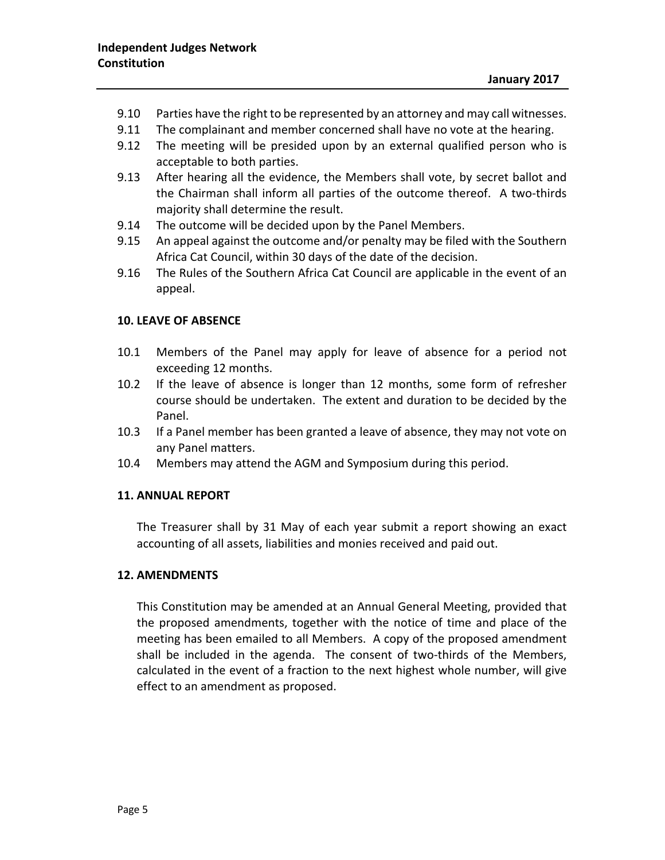- 9.10 Parties have the right to be represented by an attorney and may call witnesses.
- 9.11 The complainant and member concerned shall have no vote at the hearing.
- 9.12 The meeting will be presided upon by an external qualified person who is acceptable to both parties.
- 9.13 After hearing all the evidence, the Members shall vote, by secret ballot and the Chairman shall inform all parties of the outcome thereof. A two-thirds majority shall determine the result.
- 9.14 The outcome will be decided upon by the Panel Members.
- 9.15 An appeal against the outcome and/or penalty may be filed with the Southern Africa Cat Council, within 30 days of the date of the decision.
- 9.16 The Rules of the Southern Africa Cat Council are applicable in the event of an appeal.

#### **10. LEAVE OF ABSENCE**

- 10.1 Members of the Panel may apply for leave of absence for a period not exceeding 12 months.
- 10.2 If the leave of absence is longer than 12 months, some form of refresher course should be undertaken. The extent and duration to be decided by the Panel.
- 10.3 If a Panel member has been granted a leave of absence, they may not vote on any Panel matters.
- 10.4 Members may attend the AGM and Symposium during this period.

#### **11. ANNUAL REPORT**

The Treasurer shall by 31 May of each year submit a report showing an exact accounting of all assets, liabilities and monies received and paid out.

#### **12. AMENDMENTS**

This Constitution may be amended at an Annual General Meeting, provided that the proposed amendments, together with the notice of time and place of the meeting has been emailed to all Members. A copy of the proposed amendment shall be included in the agenda. The consent of two-thirds of the Members, calculated in the event of a fraction to the next highest whole number, will give effect to an amendment as proposed.